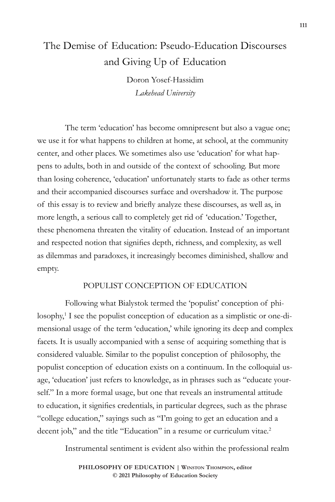# The Demise of Education: Pseudo-Education Discourses and Giving Up of Education

Doron Yosef-Hassidim *Lakehead University*

The term 'education' has become omnipresent but also a vague one; we use it for what happens to children at home, at school, at the community center, and other places. We sometimes also use 'education' for what happens to adults, both in and outside of the context of schooling. But more than losing coherence, 'education' unfortunately starts to fade as other terms and their accompanied discourses surface and overshadow it. The purpose of this essay is to review and briefly analyze these discourses, as well as, in more length, a serious call to completely get rid of 'education.' Together, these phenomena threaten the vitality of education. Instead of an important and respected notion that signifies depth, richness, and complexity, as well as dilemmas and paradoxes, it increasingly becomes diminished, shallow and empty.

## POPULIST CONCEPTION OF EDUCATION

Following what Bialystok termed the 'populist' conception of philosophy,<sup>1</sup> I see the populist conception of education as a simplistic or one-dimensional usage of the term 'education,' while ignoring its deep and complex facets. It is usually accompanied with a sense of acquiring something that is considered valuable. Similar to the populist conception of philosophy, the populist conception of education exists on a continuum. In the colloquial usage, 'education' just refers to knowledge, as in phrases such as "educate yourself." In a more formal usage, but one that reveals an instrumental attitude to education, it signifies credentials, in particular degrees, such as the phrase "college education," sayings such as "I'm going to get an education and a decent job," and the title "Education" in a resume or curriculum vitae.<sup>2</sup>

Instrumental sentiment is evident also within the professional realm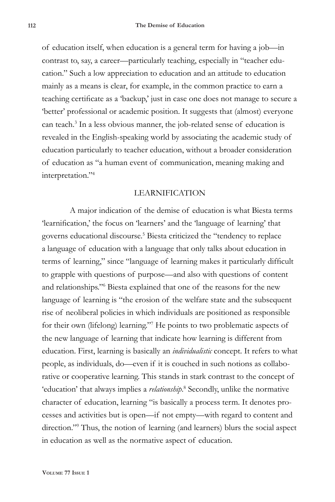of education itself, when education is a general term for having a job—in contrast to, say, a career—particularly teaching, especially in "teacher education." Such a low appreciation to education and an attitude to education mainly as a means is clear, for example, in the common practice to earn a teaching certificate as a 'backup,' just in case one does not manage to secure a 'better' professional or academic position. It suggests that (almost) everyone can teach.<sup>3</sup> In a less obvious manner, the job-related sense of education is revealed in the English-speaking world by associating the academic study of education particularly to teacher education, without a broader consideration of education as "a human event of communication, meaning making and interpretation."4

### LEARNIFICATION

A major indication of the demise of education is what Biesta terms 'learnification,' the focus on 'learners' and the 'language of learning' that governs educational discourse.<sup>5</sup> Biesta criticized the "tendency to replace a language of education with a language that only talks about education in terms of learning," since "language of learning makes it particularly difficult to grapple with questions of purpose—and also with questions of content and relationships."6 Biesta explained that one of the reasons for the new language of learning is "the erosion of the welfare state and the subsequent rise of neoliberal policies in which individuals are positioned as responsible for their own (lifelong) learning."7 He points to two problematic aspects of the new language of learning that indicate how learning is different from education. First, learning is basically an *individualistic* concept. It refers to what people, as individuals, do—even if it is couched in such notions as collaborative or cooperative learning. This stands in stark contrast to the concept of 'education' that always implies a *relationship*. 8 Secondly, unlike the normative character of education, learning "is basically a process term. It denotes processes and activities but is open—if not empty—with regard to content and direction."9 Thus, the notion of learning (and learners) blurs the social aspect in education as well as the normative aspect of education.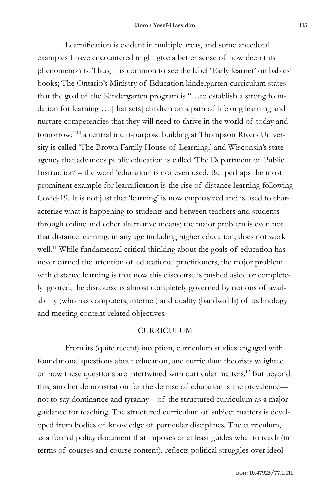Learnification is evident in multiple areas, and some anecdotal examples I have encountered might give a better sense of how deep this phenomenon is. Thus, it is common to see the label 'Early learner' on babies' books; The Ontario's Ministry of Education kindergarten curriculum states that the goal of the Kindergarten program is "…to establish a strong foundation for learning … [that sets] children on a path of lifelong learning and nurture competencies that they will need to thrive in the world of today and tomorrow;"10 a central multi-purpose building at Thompson Rivers University is called 'The Brown Family House of Learning;' and Wisconsin's state agency that advances public education is called 'The Department of Public Instruction' – the word 'education' is not even used. But perhaps the most prominent example for learnification is the rise of distance learning following Covid-19. It is not just that 'learning' is now emphasized and is used to characterize what is happening to students and between teachers and students through online and other alternative means; the major problem is even not that distance learning, in any age including higher education, does not work well.<sup>11</sup> While fundamental critical thinking about the goals of education has never earned the attention of educational practitioners, the major problem with distance learning is that now this discourse is pushed aside or completely ignored; the discourse is almost completely governed by notions of availability (who has computers, internet) and quality (bandwidth) of technology and meeting content-related objectives.

### CURRICULUM

From its (quite recent) inception, curriculum studies engaged with foundational questions about education, and curriculum theorists weighted on how these questions are intertwined with curricular matters.12 But beyond this, another demonstration for the demise of education is the prevalence not to say dominance and tyranny—of the structured curriculum as a major guidance for teaching. The structured curriculum of subject matters is developed from bodies of knowledge of particular disciplines. The curriculum, as a formal policy document that imposes or at least guides what to teach (in terms of courses and course content), reflects political struggles over ideol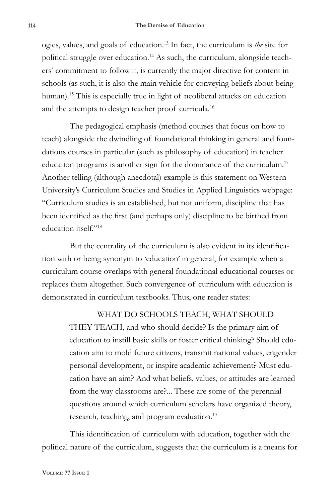ogies, values, and goals of education.13 In fact, the curriculum is *the* site for political struggle over education.14 As such, the curriculum, alongside teachers' commitment to follow it, is currently the major directive for content in schools (as such, it is also the main vehicle for conveying beliefs about being human).<sup>15</sup> This is especially true in light of neoliberal attacks on education and the attempts to design teacher proof curricula.16

The pedagogical emphasis (method courses that focus on how to teach) alongside the dwindling of foundational thinking in general and foundations courses in particular (such as philosophy of education) in teacher education programs is another sign for the dominance of the curriculum.<sup>17</sup> Another telling (although anecdotal) example is this statement on Western University's Curriculum Studies and Studies in Applied Linguistics webpage: "Curriculum studies is an established, but not uniform, discipline that has been identified as the first (and perhaps only) discipline to be birthed from education itself."18

But the centrality of the curriculum is also evident in its identification with or being synonym to 'education' in general, for example when a curriculum course overlaps with general foundational educational courses or replaces them altogether. Such convergence of curriculum with education is demonstrated in curriculum textbooks. Thus, one reader states:

# WHAT DO SCHOOLS TEACH, WHAT SHOULD

THEY TEACH, and who should decide? Is the primary aim of education to instill basic skills or foster critical thinking? Should education aim to mold future citizens, transmit national values, engender personal development, or inspire academic achievement? Must education have an aim? And what beliefs, values, or attitudes are learned from the way classrooms are?... These are some of the perennial questions around which curriculum scholars have organized theory, research, teaching, and program evaluation.<sup>19</sup>

This identification of curriculum with education, together with the political nature of the curriculum, suggests that the curriculum is a means for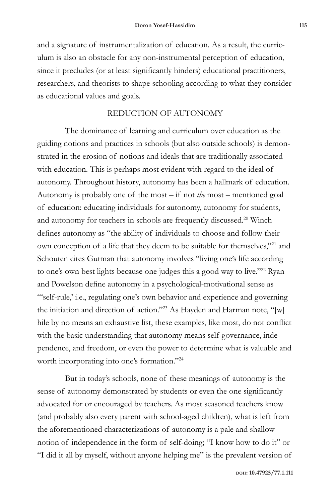and a signature of instrumentalization of education. As a result, the curriculum is also an obstacle for any non-instrumental perception of education, since it precludes (or at least significantly hinders) educational practitioners, researchers, and theorists to shape schooling according to what they consider as educational values and goals.

## REDUCTION OF AUTONOMY

The dominance of learning and curriculum over education as the guiding notions and practices in schools (but also outside schools) is demonstrated in the erosion of notions and ideals that are traditionally associated with education. This is perhaps most evident with regard to the ideal of autonomy. Throughout history, autonomy has been a hallmark of education. Autonomy is probably one of the most – if not *the* most – mentioned goal of education: educating individuals for autonomy, autonomy for students, and autonomy for teachers in schools are frequently discussed.<sup>20</sup> Winch defines autonomy as "the ability of individuals to choose and follow their own conception of a life that they deem to be suitable for themselves,"21 and Schouten cites Gutman that autonomy involves "living one's life according to one's own best lights because one judges this a good way to live."<sup>22</sup> Ryan and Powelson define autonomy in a psychological-motivational sense as "'self-rule,' i.e., regulating one's own behavior and experience and governing the initiation and direction of action."23 As Hayden and Harman note, "[w] hile by no means an exhaustive list, these examples, like most, do not conflict with the basic understanding that autonomy means self-governance, independence, and freedom, or even the power to determine what is valuable and worth incorporating into one's formation."24

But in today's schools, none of these meanings of autonomy is the sense of autonomy demonstrated by students or even the one significantly advocated for or encouraged by teachers. As most seasoned teachers know (and probably also every parent with school-aged children), what is left from the aforementioned characterizations of autonomy is a pale and shallow notion of independence in the form of self-doing; "I know how to do it" or "I did it all by myself, without anyone helping me" is the prevalent version of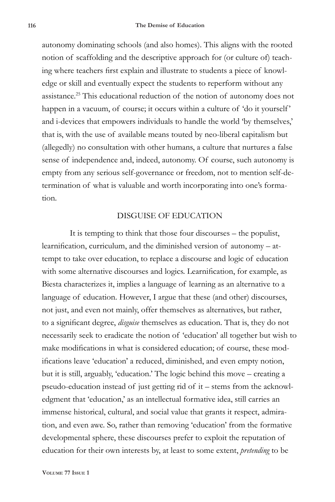autonomy dominating schools (and also homes). This aligns with the rooted notion of scaffolding and the descriptive approach for (or culture of) teaching where teachers first explain and illustrate to students a piece of knowledge or skill and eventually expect the students to reperform without any assistance.25 This educational reduction of the notion of autonomy does not happen in a vacuum, of course; it occurs within a culture of 'do it yourself' and i-devices that empowers individuals to handle the world 'by themselves,' that is, with the use of available means touted by neo-liberal capitalism but (allegedly) no consultation with other humans, a culture that nurtures a false sense of independence and, indeed, autonomy. Of course, such autonomy is empty from any serious self-governance or freedom, not to mention self-determination of what is valuable and worth incorporating into one's formation.

#### DISGUISE OF EDUCATION

It is tempting to think that those four discourses – the populist, learnification, curriculum, and the diminished version of autonomy – attempt to take over education, to replace a discourse and logic of education with some alternative discourses and logics. Learnification, for example, as Biesta characterizes it, implies a language of learning as an alternative to a language of education. However, I argue that these (and other) discourses, not just, and even not mainly, offer themselves as alternatives, but rather, to a significant degree, *disguise* themselves as education. That is, they do not necessarily seek to eradicate the notion of 'education' all together but wish to make modifications in what is considered education; of course, these modifications leave 'education' a reduced, diminished, and even empty notion, but it is still, arguably, 'education.' The logic behind this move – creating a pseudo-education instead of just getting rid of it – stems from the acknowledgment that 'education,' as an intellectual formative idea, still carries an immense historical, cultural, and social value that grants it respect, admiration, and even awe. So, rather than removing 'education' from the formative developmental sphere, these discourses prefer to exploit the reputation of education for their own interests by, at least to some extent, *pretending* to be

**Volume 77 Issue 1**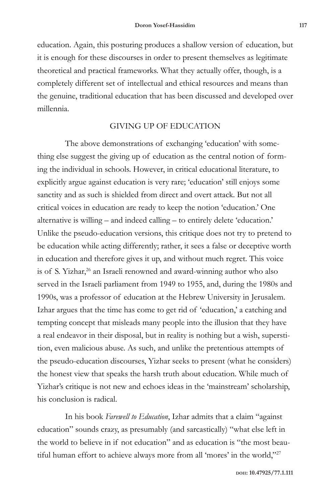education. Again, this posturing produces a shallow version of education, but it is enough for these discourses in order to present themselves as legitimate theoretical and practical frameworks. What they actually offer, though, is a completely different set of intellectual and ethical resources and means than the genuine, traditional education that has been discussed and developed over millennia.

## GIVING UP OF EDUCATION

The above demonstrations of exchanging 'education' with something else suggest the giving up of education as the central notion of forming the individual in schools. However, in critical educational literature, to explicitly argue against education is very rare; 'education' still enjoys some sanctity and as such is shielded from direct and overt attack. But not all critical voices in education are ready to keep the notion 'education.' One alternative is willing – and indeed calling – to entirely delete 'education.' Unlike the pseudo-education versions, this critique does not try to pretend to be education while acting differently; rather, it sees a false or deceptive worth in education and therefore gives it up, and without much regret. This voice is of S. Yizhar,<sup>26</sup> an Israeli renowned and award-winning author who also served in the Israeli parliament from 1949 to 1955, and, during the 1980s and 1990s, was a professor of education at the Hebrew University in Jerusalem. Izhar argues that the time has come to get rid of 'education,' a catching and tempting concept that misleads many people into the illusion that they have a real endeavor in their disposal, but in reality is nothing but a wish, superstition, even malicious abuse. As such, and unlike the pretentious attempts of the pseudo-education discourses, Yizhar seeks to present (what he considers) the honest view that speaks the harsh truth about education. While much of Yizhar's critique is not new and echoes ideas in the 'mainstream' scholarship, his conclusion is radical.

In his book *Farewell to Education*, Izhar admits that a claim "against education" sounds crazy, as presumably (and sarcastically) "what else left in the world to believe in if not education" and as education is "the most beautiful human effort to achieve always more from all 'mores' in the world,"27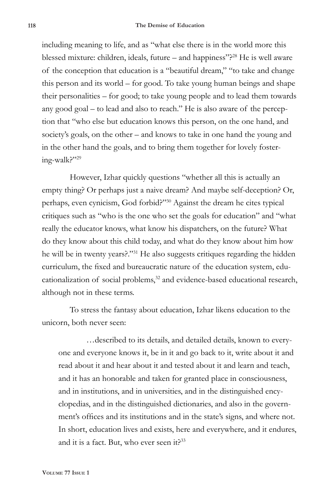including meaning to life, and as "what else there is in the world more this blessed mixture: children, ideals, future – and happiness"?28 He is well aware of the conception that education is a "beautiful dream," "to take and change this person and its world – for good. To take young human beings and shape their personalities – for good; to take young people and to lead them towards any good goal – to lead and also to reach." He is also aware of the perception that "who else but education knows this person, on the one hand, and society's goals, on the other – and knows to take in one hand the young and in the other hand the goals, and to bring them together for lovely fostering-walk?"29

However, Izhar quickly questions "whether all this is actually an empty thing? Or perhaps just a naive dream? And maybe self-deception? Or, perhaps, even cynicism, God forbid?"30 Against the dream he cites typical critiques such as "who is the one who set the goals for education" and "what really the educator knows, what know his dispatchers, on the future? What do they know about this child today, and what do they know about him how he will be in twenty years?."31 He also suggests critiques regarding the hidden curriculum, the fixed and bureaucratic nature of the education system, educationalization of social problems,<sup>32</sup> and evidence-based educational research, although not in these terms.

To stress the fantasy about education, Izhar likens education to the unicorn, both never seen:

…described to its details, and detailed details, known to everyone and everyone knows it, be in it and go back to it, write about it and read about it and hear about it and tested about it and learn and teach, and it has an honorable and taken for granted place in consciousness, and in institutions, and in universities, and in the distinguished encyclopedias, and in the distinguished dictionaries, and also in the government's offices and its institutions and in the state's signs, and where not. In short, education lives and exists, here and everywhere, and it endures, and it is a fact. But, who ever seen it?<sup>33</sup>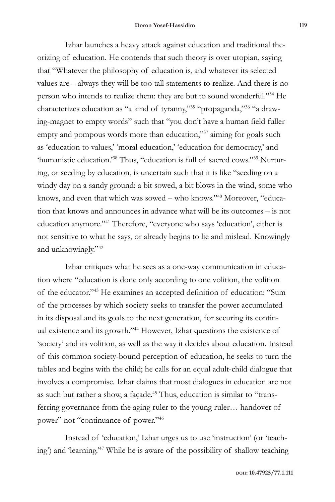Izhar launches a heavy attack against education and traditional theorizing of education. He contends that such theory is over utopian, saying that "Whatever the philosophy of education is, and whatever its selected values are – always they will be too tall statements to realize. And there is no person who intends to realize them: they are but to sound wonderful."34 He characterizes education as "a kind of tyranny,"35 "propaganda,"36 "a drawing-magnet to empty words" such that "you don't have a human field fuller empty and pompous words more than education,"<sup>37</sup> aiming for goals such as 'education to values,' 'moral education,' 'education for democracy,' and 'humanistic education.'38 Thus, "education is full of sacred cows."39 Nurturing, or seeding by education, is uncertain such that it is like "seeding on a windy day on a sandy ground: a bit sowed, a bit blows in the wind, some who knows, and even that which was sowed – who knows."40 Moreover, "education that knows and announces in advance what will be its outcomes – is not education anymore."41 Therefore, "everyone who says 'education', either is not sensitive to what he says, or already begins to lie and mislead. Knowingly and unknowingly."42

Izhar critiques what he sees as a one-way communication in education where "education is done only according to one volition, the volition of the educator."43 He examines an accepted definition of education: "Sum of the processes by which society seeks to transfer the power accumulated in its disposal and its goals to the next generation, for securing its continual existence and its growth."44 However, Izhar questions the existence of 'society' and its volition, as well as the way it decides about education. Instead of this common society-bound perception of education, he seeks to turn the tables and begins with the child; he calls for an equal adult-child dialogue that involves a compromise. Izhar claims that most dialogues in education are not as such but rather a show, a façade.<sup>45</sup> Thus, education is similar to "transferring governance from the aging ruler to the young ruler… handover of power" not "continuance of power."46

Instead of 'education,' Izhar urges us to use 'instruction' (or 'teaching') and 'learning.'47 While he is aware of the possibility of shallow teaching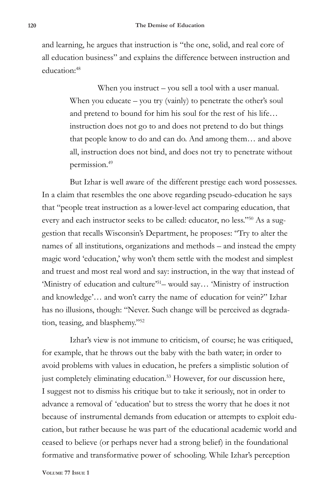and learning, he argues that instruction is "the one, solid, and real core of all education business" and explains the difference between instruction and education:48

> When you instruct – you sell a tool with a user manual. When you educate – you try (vainly) to penetrate the other's soul and pretend to bound for him his soul for the rest of his life… instruction does not go to and does not pretend to do but things that people know to do and can do. And among them… and above all, instruction does not bind, and does not try to penetrate without permission.49

But Izhar is well aware of the different prestige each word possesses. In a claim that resembles the one above regarding pseudo-education he says that "people treat instruction as a lower-level act comparing education, that every and each instructor seeks to be called: educator, no less."50 As a suggestion that recalls Wisconsin's Department, he proposes: "Try to alter the names of all institutions, organizations and methods – and instead the empty magic word 'education,' why won't them settle with the modest and simplest and truest and most real word and say: instruction, in the way that instead of 'Ministry of education and culture'51– would say… 'Ministry of instruction and knowledge'… and won't carry the name of education for vein?" Izhar has no illusions, though: "Never. Such change will be perceived as degradation, teasing, and blasphemy."52

Izhar's view is not immune to criticism, of course; he was critiqued, for example, that he throws out the baby with the bath water; in order to avoid problems with values in education, he prefers a simplistic solution of just completely eliminating education.<sup>53</sup> However, for our discussion here, I suggest not to dismiss his critique but to take it seriously, not in order to advance a removal of 'education' but to stress the worry that he does it not because of instrumental demands from education or attempts to exploit education, but rather because he was part of the educational academic world and ceased to believe (or perhaps never had a strong belief) in the foundational formative and transformative power of schooling. While Izhar's perception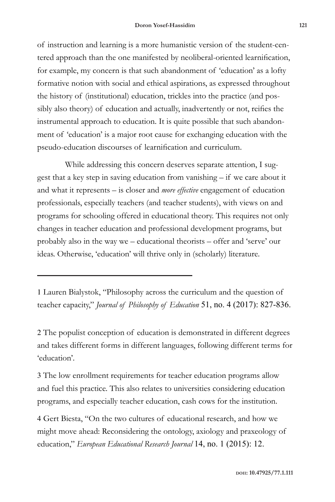of instruction and learning is a more humanistic version of the student-centered approach than the one manifested by neoliberal-oriented learnification, for example, my concern is that such abandonment of 'education' as a lofty formative notion with social and ethical aspirations, as expressed throughout the history of (institutional) education, trickles into the practice (and possibly also theory) of education and actually, inadvertently or not, reifies the instrumental approach to education. It is quite possible that such abandonment of 'education' is a major root cause for exchanging education with the pseudo-education discourses of learnification and curriculum.

While addressing this concern deserves separate attention, I suggest that a key step in saving education from vanishing – if we care about it and what it represents – is closer and *more effective* engagement of education professionals, especially teachers (and teacher students), with views on and programs for schooling offered in educational theory. This requires not only changes in teacher education and professional development programs, but probably also in the way we – educational theorists – offer and 'serve' our ideas. Otherwise, 'education' will thrive only in (scholarly) literature.

1 Lauren Bialystok, "Philosophy across the curriculum and the question of teacher capacity," *Journal of Philosophy of Education* 51, no. 4 (2017): 827-836.

2 The populist conception of education is demonstrated in different degrees and takes different forms in different languages, following different terms for 'education'.

3 The low enrollment requirements for teacher education programs allow and fuel this practice. This also relates to universities considering education programs, and especially teacher education, cash cows for the institution.

4 Gert Biesta, "On the two cultures of educational research, and how we might move ahead: Reconsidering the ontology, axiology and praxeology of education," *European Educational Research Journal* 14, no. 1 (2015): 12.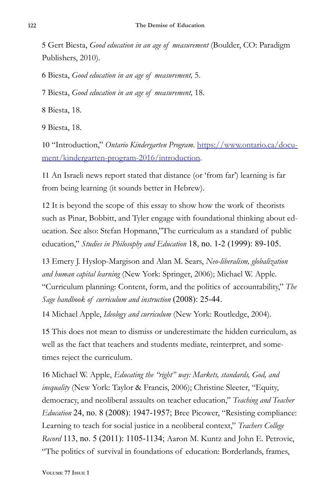5 Gert Biesta, *Good education in an age of measurement* (Boulder, CO: Paradigm Publishers, 2010).

6 Biesta, *Good education in an age of measurement,* 5.

7 Biesta, *Good education in an age of measurement,* 18.

8 Biesta, 18.

9 Biesta, 18.

10 "Introduction," *Ontario Kindergarten Program*. https://www.ontario.ca/document/kindergarten-program-2016/introduction.

11 An Israeli news report stated that distance (or 'from far') learning is far from being learning (it sounds better in Hebrew).

12 It is beyond the scope of this essay to show how the work of theorists such as Pinar, Bobbitt, and Tyler engage with foundational thinking about education. See also: Stefan Hopmann,"The curriculum as a standard of public education," *Studies in Philosophy and Education* 18, no. 1-2 (1999): 89-105.

13 Emery J. Hyslop-Margison and Alan M. Sears, *Neo-liberalism, globalization and human capital learning* (New York: Springer, 2006); Michael W. Apple. "Curriculum planning: Content, form, and the politics of accountability," *The Sage handbook of curriculum and instruction* (2008): 25-44.

14 Michael Apple, *Ideology and curriculum* (New York: Routledge, 2004).

15 This does not mean to dismiss or underestimate the hidden curriculum, as well as the fact that teachers and students mediate, reinterpret, and sometimes reject the curriculum.

16 Michael W. Apple, *Educating the "right" way: Markets, standards, God, and inequality* (New York: Taylor & Francis, 2006); Christine Sleeter, "Equity, democracy, and neoliberal assaults on teacher education," *Teaching and Teacher Education* 24, no. 8 (2008): 1947-1957; Bree Picower, "Resisting compliance: Learning to teach for social justice in a neoliberal context," *Teachers College Record* 113, no. 5 (2011): 1105-1134; Aaron M. Kuntz and John E. Petrovic, "The politics of survival in foundations of education: Borderlands, frames,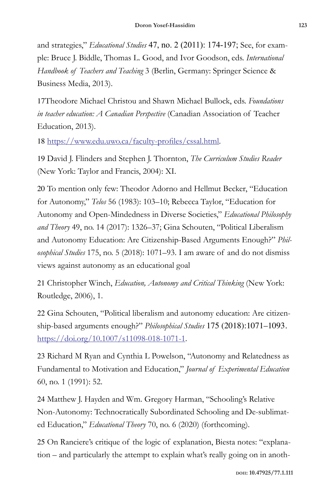and strategies," *Educational Studies* 47, no. 2 (2011): 174-197; See, for example: Bruce J. Biddle, Thomas L. Good, and Ivor Goodson, eds. *International Handbook of Teachers and Teaching* 3 (Berlin, Germany: Springer Science & Business Media, 2013).

17Theodore Michael Christou and Shawn Michael Bullock, eds. *Foundations in teacher education: A Canadian Perspective* (Canadian Association of Teacher Education, 2013).

18 https://www.edu.uwo.ca/faculty-profiles/cssal.html.

19 David J. Flinders and Stephen J. Thornton, *The Curriculum Studies Reader* (New York: Taylor and Francis, 2004): XI.

20 To mention only few: Theodor Adorno and Hellmut Becker, "Education for Autonomy," *Telos* 56 (1983): 103–10; Rebecca Taylor, "Education for Autonomy and Open-Mindedness in Diverse Societies," *Educational Philosophy and Theory* 49, no. 14 (2017): 1326–37; Gina Schouten, "Political Liberalism and Autonomy Education: Are Citizenship-Based Arguments Enough?" *Philosophical Studies* 175, no. 5 (2018): 1071–93. I am aware of and do not dismiss views against autonomy as an educational goal

21 Christopher Winch, *Education, Autonomy and Critical Thinking* (New York: Routledge, 2006), 1.

22 Gina Schouten, "Political liberalism and autonomy education: Are citizenship-based arguments enough?" *Philosophical Studies* 175 (2018):1071–1093. https://doi.org/10.1007/s11098-018-1071-1.

23 Richard M Ryan and Cynthia L Powelson, "Autonomy and Relatedness as Fundamental to Motivation and Education," *Journal of Experimental Education* 60, no. 1 (1991): 52.

24 Matthew J. Hayden and Wm. Gregory Harman, "Schooling's Relative Non-Autonomy: Technocratically Subordinated Schooling and De-sublimated Education," *Educational Theory* 70, no. 6 (2020) (forthcoming).

25 On Ranciere's critique of the logic of explanation, Biesta notes: "explanation – and particularly the attempt to explain what's really going on in anoth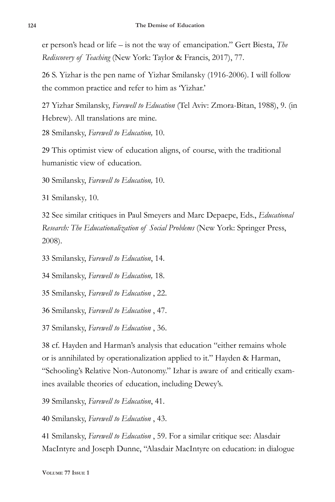er person's head or life – is not the way of emancipation." Gert Biesta, *The Rediscovery of Teaching* (New York: Taylor & Francis, 2017), 77.

26 S. Yizhar is the pen name of Yizhar Smilansky (1916-2006). I will follow the common practice and refer to him as 'Yizhar.'

27 Yizhar Smilansky, *Farewell to Education* (Tel Aviv: Zmora-Bitan, 1988), 9. (in Hebrew). All translations are mine.

28 Smilansky, *Farewell to Education,* 10.

29 This optimist view of education aligns, of course, with the traditional humanistic view of education.

30 Smilansky, *Farewell to Education,* 10.

31 Smilansky*,* 10.

32 See similar critiques in Paul Smeyers and Marc Depaepe, Eds., *Educational Research: The Educationalization of Social Problems* (New York: Springer Press, 2008).

33 Smilansky, *Farewell to Education*, 14.

34 Smilansky, *Farewell to Education,* 18.

35 Smilansky, *Farewell to Education* , 22.

36 Smilansky, *Farewell to Education* , 47.

37 Smilansky, *Farewell to Education* , 36.

38 cf. Hayden and Harman's analysis that education "either remains whole or is annihilated by operationalization applied to it." Hayden & Harman, "Schooling's Relative Non-Autonomy." Izhar is aware of and critically examines available theories of education, including Dewey's.

39 Smilansky, *Farewell to Education*, 41.

40 Smilansky, *Farewell to Education* , 43.

41 Smilansky, *Farewell to Education* , 59. For a similar critique see: Alasdair MacIntyre and Joseph Dunne, "Alasdair MacIntyre on education: in dialogue